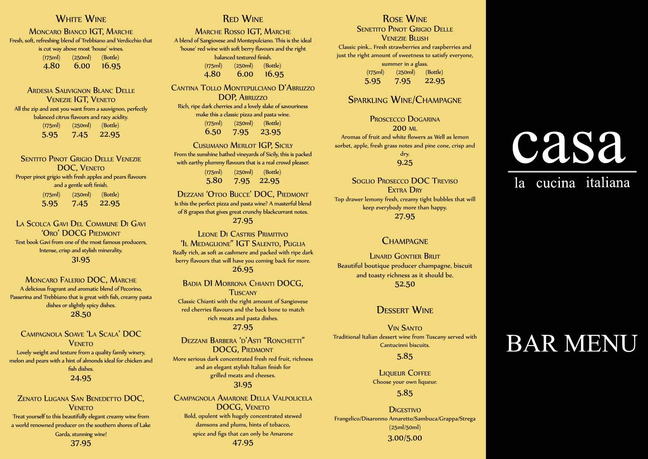# **AAAAAAAAAA**<br>White Wine

**DOUBLEAESPRESS MONCARO BIANCO IGT, MARCHE** AACAPPUCINOAAAAAAA Fresh, soft, refreshing blend of Trebbiano and Ver<br>is cut way above most 'house' wines.<br>(175ml) (250ml) (Bottle)  $(175$ ml)  $(250$ ml)<br> $A, 80, 6, 00$ Fresh, soft, refreshing blend of Trebbiano and Verdicchio that (175ml) (250ml) (Bottle)

4.80 6.00 16.95

 $\frac{1}{2}$   $\frac{1}{3}$   $\frac{1}{2}$   $\frac{1}{2}$   $\frac{1}{2}$   $\frac{1}{2}$   $\frac{1}{2}$   $\frac{1}{2}$   $\frac{1}{2}$   $\frac{1}{2}$   $\frac{1}{2}$   $\frac{1}{2}$   $\frac{1}{2}$   $\frac{1}{2}$   $\frac{1}{2}$   $\frac{1}{2}$   $\frac{1}{2}$   $\frac{1}{2}$   $\frac{1}{2}$   $\frac{1}{2}$   $\frac{1}{2}$   $\frac{1}{2}$  **HOTACHOCOLATEA**<br>ARDESIA SAUVIGNON BLANC DELLE VENEZIE IG I, VENETO<br>All the zip and zest you want from a sauvignon, perfectly **MOCHAOCH 2.65** balanced citrus flavours and racy acidity. Venezie IGT, Veneto (175ml) (250ml) (Bottle) 5.95 7.45 22.95

> FRANGELICO and a gentle soft finish.  $(175m)$ <br>5.95 Sentito Pinot Grigio Delle Venezie DOC, VENETO Proper pinot grigio with fresh apples and pears flavours  $(250ml)$  (Bottle) 5.95 7.45 22.95

La Scolca Gavi Del Commune Di Gavi **STREGAL CORO' DOCG PIEDMONT** Intense, crisp and stylish minerality. Text book Gavi from one of the most famous producers, 31.95

 $\mathcal{S}$ 

Passerina and Trebbiano that is great with fish, creamy pasta<br>dishes or slightly spicy dishes  $28.50$ Moncaro Falerio DOC, Marche A delicious fragrant and aromatic blend of Pecorino, dishes or slightly spicy dishes.

CAMPAGNOLA SOAVE 'LA SCALA' DOC  $\sim$  24.95  $\sim$  24.95 **VENETO** Lovely weight and texture from a quality family winery, melon and pears with a hint of almonds ideal for chicken and fish dishes.

4.95 Zenato Lugana San Benedetto DOC, Veneto a world renowned producer on the southern shores of Lake<br>Garda, stunning wine! Treat yourself to this beautifully elegant creamy wine from Garda, stunning wine! 37.95

## **RED WINE**

4.45AAAA5.60AAAA15.45 balanced textured finish. Marche Rosso IGT, Marche A blend of Sangiovese and Montepulciano. This is the ideal 'house' red wine with soft berry flavours and the right (175ml) (250ml) (Bottle) 4.80 6.00 16.95

CANTINA TOLLO MONTEPULCIANO D'ABRUZZO DOP, ABRUZZO<br>Rich, ripe dark cherries and a lovely slake of savouriness PINOT GRIGIO GRAPE.ATHE BOUQUET IS INTENCE DOP, Abruzzo make this a classic pizza and pasta wine. (175ml) (250ml) (Bottle) 6.50 7.95 23.95

CUSUMANO MERLOT IGP, SICILY<br>From the sunshine bathed vineyards of Sicily, this is packed with earthy plummy flavours that is a real crowd pleaser. Cusumano Merlot IGP, Sicily (175ml) (250ml) (Bottle) 5.80 7.95 22.95

of 8 grapes that gives great crunchy blackcurrant notes.<br>27 **Q5** SAUVIGNON GRAPE.<br>BEER ADRIEN GRAPE. DE CANTO ELECTRON GRAPE. Is this the perfect pizza and pasta wine? A masterful blend 27.95

Leone Di Castris Primitivo EXTEDINGLIONE TRANSPORTER TO TURENTUS, TURENT AND TURENT AND TURENT AND TURENT AND TURENT AND TURENT AND TURENT AND TURENT AND TURENT AND TURENT AND TURENT AND TURENT AND TURENT AND TURENT AND TURENT AND TURENT AND TURENT **TAUT DRYING BALANCES WITH A GOOD FRUIT-ACID BALANCE,**  $\mathbf{26.95}$  and  $\mathbf{26.95}$ 'Il Medaglione" IGT Salento, Puglia

red cherries flavours and the back bone to match<br>External parts and parts dishes FRECH, AFRUITY BOULD BOULD BOULD BOULD BOULD BOULD BOULD BOULD BOULD BOULD BOULD BOULD BOULD BOULD BOULD BOULD BOULD BOULD BOULD BOULD BOULD BOULD BOULD BOULD BOULD BOULD BOULD BOULD BOULD BOULD BOULD BOULD BOULD BOULD BO  $20.75$ Badia DI Morrona Chianti DOCG, **TUSCANY** Classic Chianti with the right amount of Sangiovese 27.95

winery,<br>hicken and More serious dark concentrated fresh red fruit, richness Intentional Persistent And an elegant stylish Italian finish for  $\mathbf{F}_{\text{max}}$  and  $\mathbf{F}_{\text{max}}$  and  $\mathbf{F}_{\text{max}}$  and  $\mathbf{F}_{\text{max}}$  $\sim$ 31.95 26.45 Dezzani Barbera 'd'Asti "Ronchetti" DOCG, Piedmont

> CAMPAGNOLA AMARONE DELLA VALPOLICELA DOCG, VENETO Bold, opulent with hugely concentrated stewed damsons and plums, hints of tobacco, spice and figs that can only be Amarone 47.95

## VERY APPARENT IN THE GLASS WINE A FIRM PRESENCE OF  $\mathbf F$

**AROMAS LIKE BLACK BERETITO PINOT GRIGIO DELLE** PERSY AND SOFT ROUND TANKING SOFT ROUND TANKING TANKING SOFT ROUND TANKING SOFT ROUND TANKING SOFT A THE SOFT  $\mathbf{P}$ Classic pink… Fresh strawberries and raspberries and<br>Classic pink… Fresh strawberries and raspberries and And the amount of oncerness to<br>summer in a glass. just the right amount of sweetness to satisfy everyone, (175ml) (250ml) (Bottle) 5.95 7.95 22.95

## GRAPEA-AMERLOT Sparkling Wine/Champagne

Proscecco Dogarina 200 ml Aromas of fruit and white flowers as Well as lemon sorbet, apple, fresh grass notes and pine cone, crisp and dry.

#### 9.25

Soglio Prosecco DOC Treviso 21.95 Top drawer lemony fresh, creamy tight bubbles that will EXTRA DRY keep everybody more than happy. 27.95

#### **CHAMPAGNE**

**ERAND GONTEN DRATE**<br>Beautiful boutique producer champagne, biscuit INTENSE BOULD AND THE SERVICE BOULD OF THE SERVICE OF THE SERVICE OF THE SERVICE OF THE SERVICE OF THE SERVICE OF THE SERVICE OF THE SERVICE OF THE SERVICE OF THE SERVICE OF THE SERVICE OF THE SERVICE OF THE SERVICE OF THE  $\overline{\phantom{1}}$  52.50 LINARD GONTIER BRUT

## **DESSERT WINE**

Vin Santo Traditional Italian dessert wine from Tuscany served with Cantucinni biscuits.

#### 5.85

 $T_{\rm eff} = 5.85$ **LIQUEUR COFFEE** Choose your own liqueur.

#### $\overline{C}$  CASSIS, and  $\overline{C}$  CASSIS, and  $\overline{C}$  CASSIS, and  $\overline{C}$  CASSIS, and  $\overline{C}$ 5.85

NOTES GIVE THIS WINE A UNIQUE SOUL. Digestivo ODDERO'SABAROLO SHOWS A DEVELOPED, ACOMPLEXO SHOWS A DEVELOPED, ACOMPLEXO A DEVELOPED,ACOMPLEXO A DEVELOPED,AC<br>Personalis a developed, acomplexo a developed, acomplexo a developed, acomplexo a developed, acomplexo a devel Frangelico/Disaronno Amaretto/Sambuca/Grappa/Strega (25ml/50ml) 3.00/5.00